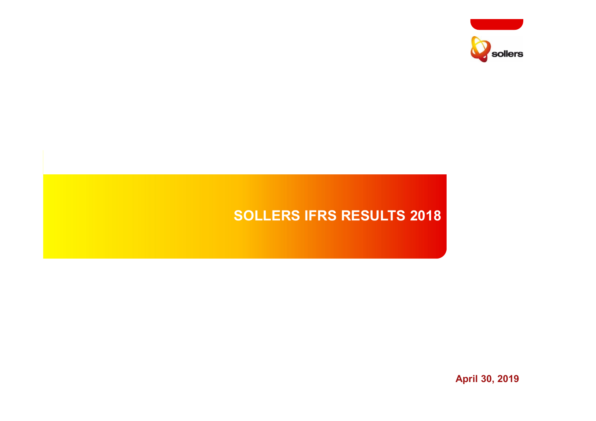

# **SOLLERS IFRS RESULTS 2018**

**April 30, 2019**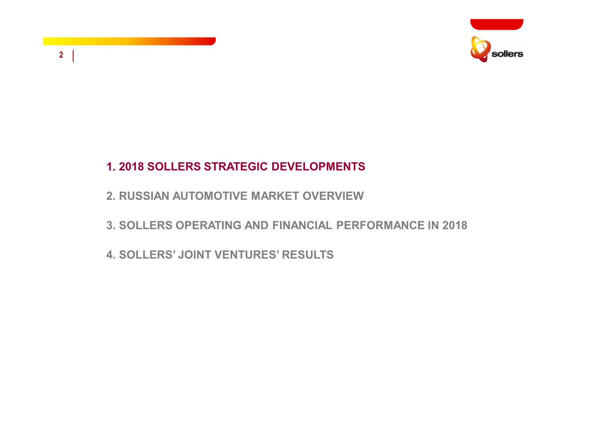

# **2**

### **1. 2018 SOLLERS STRATEGIC DEVELOPMENTS**

- **2. RUSSIAN AUTOMOTIVE MARKET OVERVIEW**
- **3. SOLLERS OPERATING AND FINANCIAL PERFORMANCE IN 2018**
- **4. SOLLERS' JOINT VENTURES' RESULTS**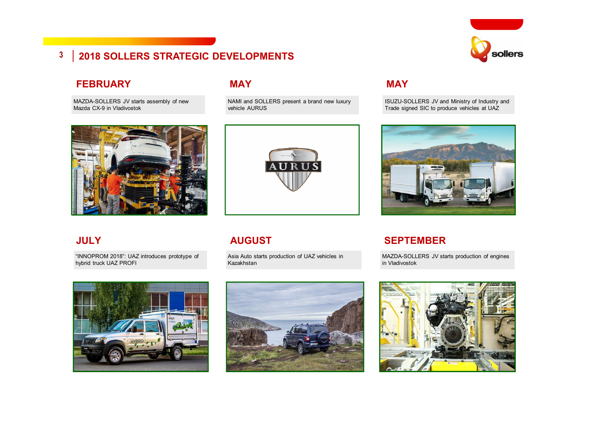# **D** sollers

# **3 2018 SOLLERS STRATEGIC DEVELOPMENTS**

#### **FEBRUARY**

MAZDA SOLLERS JV starts assembly of new MAZDA-SOLLERS JV starts assembly of new Mazda CX-5 in Vladivostok Mazda CX-9 in Vladivostok



"INNOPROM 2018": UAZ introduces prototype of hybrid truck UAZ PROFI



#### **MAY**

NAMI and SOLLERS present a brand new luxury vehicle AURUS



#### **JULY AUGUST**

Asia Auto starts production of UAZ vehicles in Kazakhstan



#### **MAY**

ISUZU-SOLLERS JV and Ministry of Industry and Trade signed SIC to produce vehicles at UAZ



#### **SEPTEMBER**

MAZDA-SOLLERS JV starts production of engines in Vladivostok

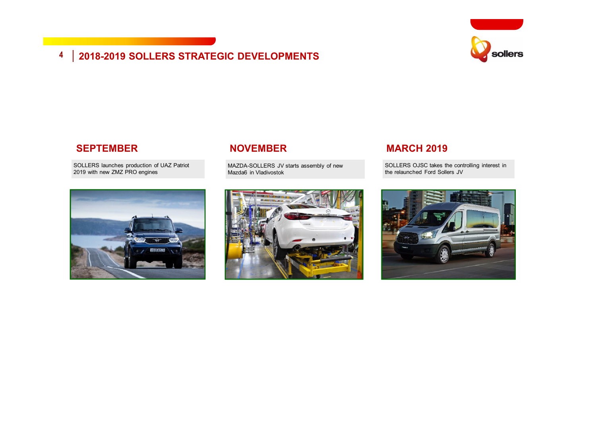# **4 2018-2019 SOLLERS STRATEGIC DEVELOPMENTS**



#### **SEPTEMBER**

SOLLERS launches production of UAZ Patriot 2019 with new ZMZ PRO engines



#### **NOVEMBER**

MAZDA-SOLLERS JV starts assembly of new Mazda6 in Vladivostok



#### **MARCH 2019**

SOLLERS OJSC takes the controlling interest in the relaunched Ford Sollers JV

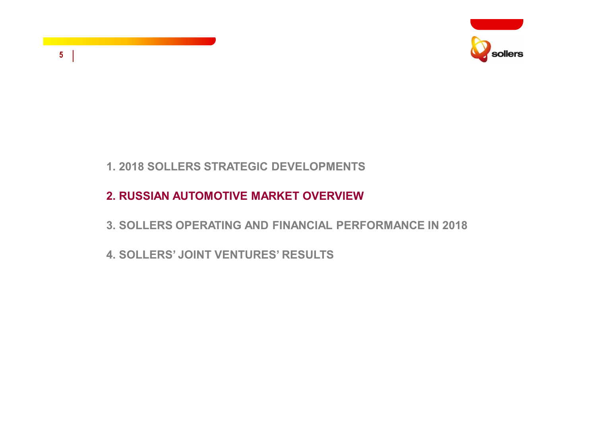

### **1. 2018 SOLLERS STRATEGIC DEVELOPMENTS**

**5**

# **2. RUSSIAN AUTOMOTIVE MARKET OVERVIEW**

- **3. SOLLERS OPERATING AND FINANCIAL PERFORMANCE IN 2018**
- **4. SOLLERS' JOINT VENTURES' RESULTS**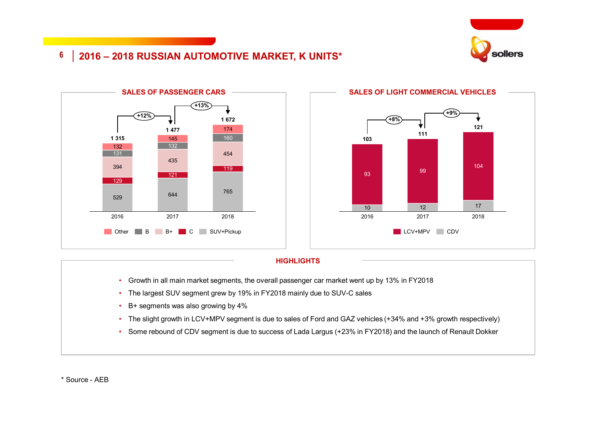

# **2016 – 2018 RUSSIAN AUTOMOTIVE MARKET, K UNITS\***





#### **HIGHLIGHTS**

- Growth in all main market segments, the overall passenger car market went up by 13% in FY2018
- The largest SUV segment grew by 19% in FY2018 mainly due to SUV-C sales
- B+ segments was also growing by 4%
- The slight growth in LCV+MPV segment is due to sales of Ford and GAZ vehicles (+34% and +3% growth respectively)
- Some rebound of CDV segment is due to success of Lada Largus (+23% in FY2018) and the launch of Renault Dokker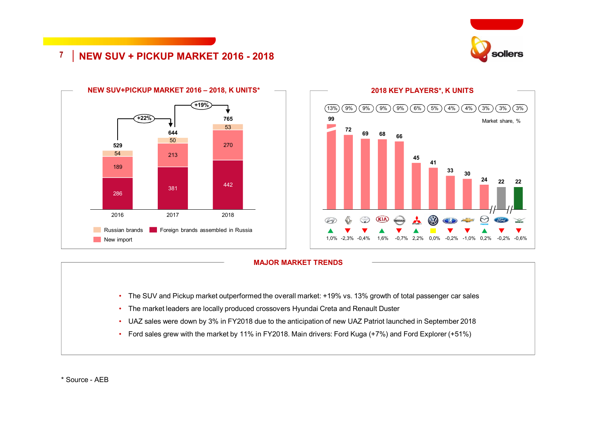

#### **7 NEW SUV + PICKUP MARKET 2016 - 2018**



#### **2018 KEY PLAYERS\*, K UNITS**  $(13\%)$   $(9\%)$   $(9\%)$   $(9\%)$   $(9\%)$   $(6\%)$   $(5\%)$   $(4\%)$   $(4\%)$   $(3\%)$   $(3\%)$  $(3% )$ **99** Market share, %**<sup>72</sup> <sup>69</sup> <sup>68</sup> <sup>66</sup> 45 41 <sup>33</sup> <sup>30</sup> 24 22 22**  $\circledR$  $\circledcirc$  $(KI)$ 1,0% -2,3% -0,4% 1,6% -0,7% 2,2% 0,0% -0,2% -1,0% 0,2% -0,2% -0,6%

#### **MAJOR MARKET TRENDS**

- The SUV and Pickup market outperformed the overall market: +19% vs. 13% growth of total passenger car sales
- The market leaders are locally produced crossovers Hyundai Creta and Renault Duster
- UAZ sales were down by 3% in FY2018 due to the anticipation of new UAZ Patriot launched in September 2018
- Ford sales grew with the market by 11% in FY2018. Main drivers: Ford Kuga (+7%) and Ford Explorer (+51%)

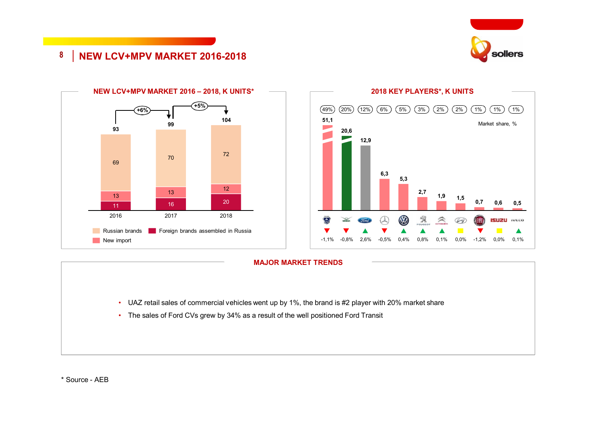

#### **8 NEW LCV+MPV MARKET 2016-2018**







- UAZ retail sales of commercial vehicles went up by 1%, the brand is #2 player with 20% market share
- The sales of Ford CVs grew by 34% as a result of the well positioned Ford Transit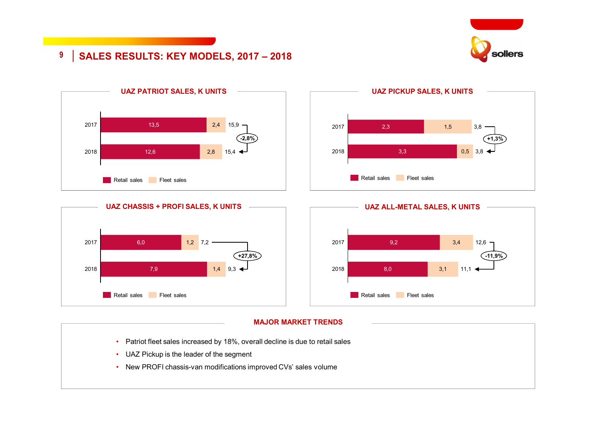

#### **9 SALES RESULTS: KEY MODELS, 2017 – 2018**







#### **MAJOR MARKET TRENDS**

- Patriot fleet sales increased by 18%, overall decline is due to retail sales
- UAZ Pickup is the leader of the segment
- New PROFI chassis-van modifications improved CVs' sales volume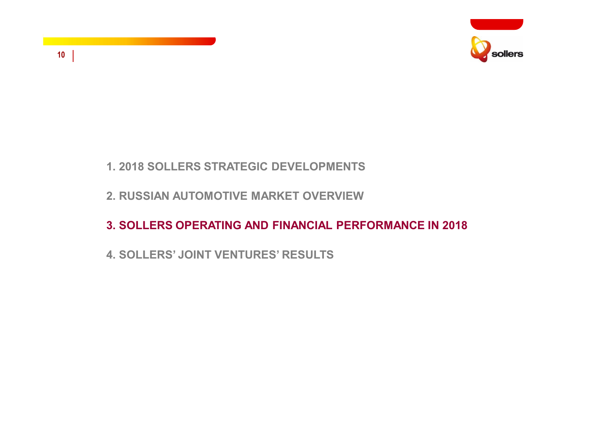

#### **10**

### **1. 2018 SOLLERS STRATEGIC DEVELOPMENTS**

### **2. RUSSIAN AUTOMOTIVE MARKET OVERVIEW**

# **3. SOLLERS OPERATING AND FINANCIAL PERFORMANCE IN 2018**

# **4. SOLLERS' JOINT VENTURES' RESULTS**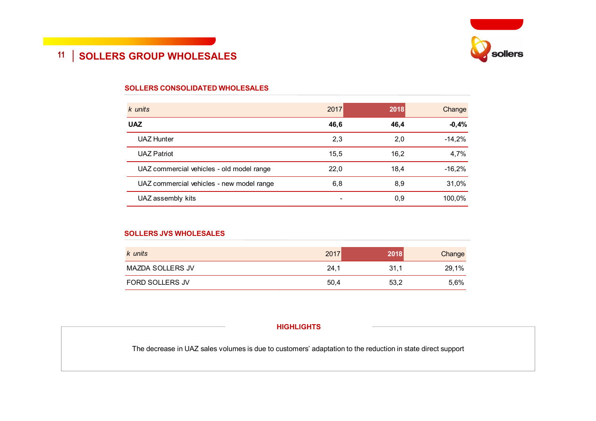

# **11 SOLLERS GROUP WHOLESALES**

#### **SOLLERS CONSOLIDATED WHOLESALES**

| k units                                   | 2017 | 2018 | Change   |
|-------------------------------------------|------|------|----------|
| <b>UAZ</b>                                | 46,6 | 46,4 | $-0,4%$  |
| <b>UAZ Hunter</b>                         | 2,3  | 2,0  | $-14,2%$ |
| <b>UAZ Patriot</b>                        | 15,5 | 16,2 | 4,7%     |
| UAZ commercial vehicles - old model range | 22,0 | 18.4 | $-16,2%$ |
| UAZ commercial vehicles - new model range | 6,8  | 8,9  | 31,0%    |
| UAZ assembly kits                         |      | 0,9  | 100,0%   |

#### **SOLLERS JVS WHOLESALES**

| k units                | 2017 | 2018 | Change |
|------------------------|------|------|--------|
| MAZDA SOLLERS JV       | 24,1 | 31.1 | 29,1%  |
| <b>FORD SOLLERS JV</b> | 50,4 | 53,2 | 5,6%   |

#### **HIGHLIGHTS**

The decrease in UAZ sales volumes is due to customers' adaptation to the reduction in state direct support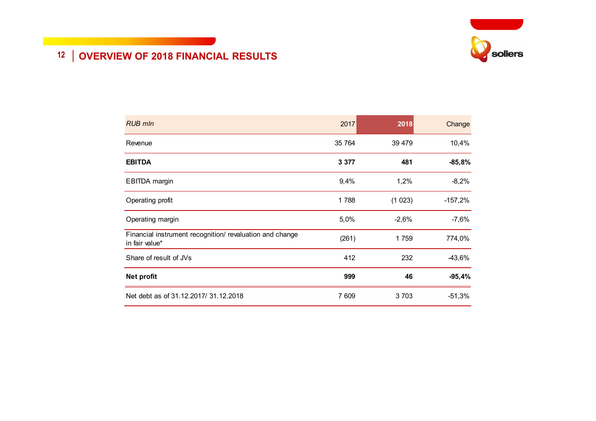

# **12 OVERVIEW OF 2018 FINANCIAL RESULTS**

| <b>RUB mln</b>                                                             | 2017    | 2018    | Change    |
|----------------------------------------------------------------------------|---------|---------|-----------|
| Revenue                                                                    | 35 764  | 39 479  | 10,4%     |
| <b>EBITDA</b>                                                              | 3 3 7 7 | 481     | $-85,8%$  |
| <b>EBITDA</b> margin                                                       | 9,4%    | 1,2%    | $-8,2%$   |
| Operating profit                                                           | 1788    | (1023)  | $-157,2%$ |
| Operating margin                                                           | 5,0%    | $-2,6%$ | $-7,6%$   |
| Financial instrument recognition/ revaluation and change<br>in fair value* | (261)   | 1759    | 774,0%    |
| Share of result of JVs                                                     | 412     | 232     | $-43,6%$  |
| <b>Net profit</b>                                                          | 999     | 46      | $-95,4%$  |
| Net debt as of 31.12.2017/ 31.12.2018                                      | 7 609   | 3 7 0 3 | $-51,3%$  |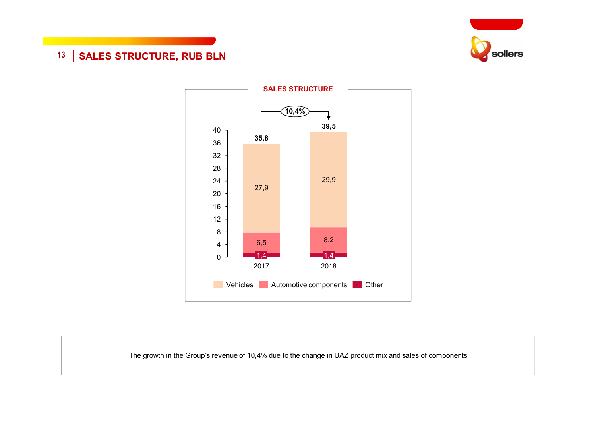

# **13** | SALES STRUCTURE, RUB BLN



The growth in the Group's revenue of 10,4% due to the change in UAZ product mix and sales of components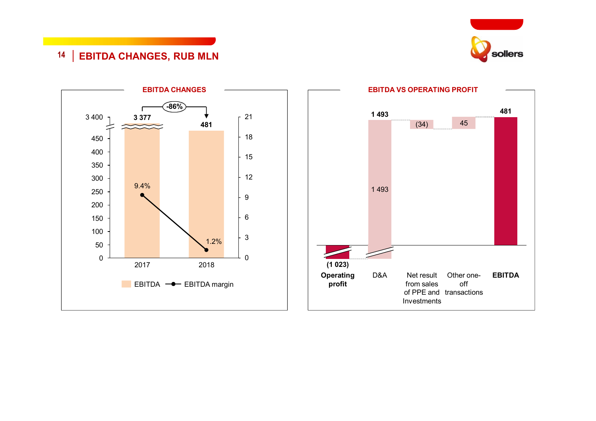

# **EBITDA CHANGES, RUB MLN**



# **EBITDA VS OPERATING PROFIT**

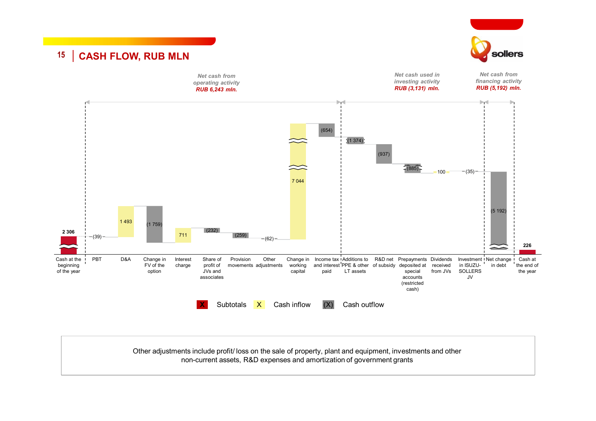

Other adjustments include profit/ loss on the sale of property, plant and equipment, investments and other non-current assets, R&D expenses and amortization of government grants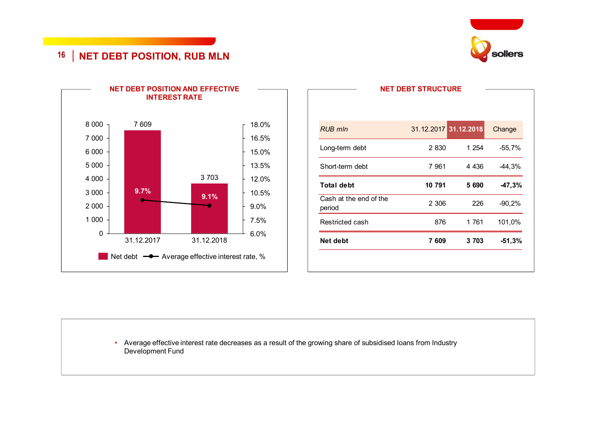

# **16 NET DEBT POSITION, RUB MLN**



|                                  | <b>NET DEBT STRUCTURE</b> |         |          |
|----------------------------------|---------------------------|---------|----------|
| <b>RUB mln</b>                   | 31.12.2017 31.12.2018     |         | Change   |
| Long-term debt                   | 2830                      | 1 254   | $-55,7%$ |
| Short-term debt                  | 7961                      | 4 4 3 6 | $-44,3%$ |
| <b>Total debt</b>                | 10 791                    | 5 690   | $-47,3%$ |
| Cash at the end of the<br>period | 2 3 0 6                   | 226     | $-90,2%$ |
| Restricted cash                  | 876                       | 1 761   | 101,0%   |
| Net debt                         | 7 609                     | 3703    | $-51,3%$ |

• Average effective interest rate decreases as a result of the growing share of subsidised loans from Industry Development Fund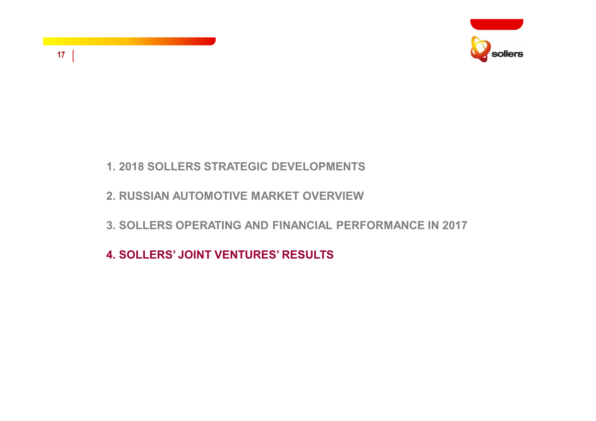

# **17**

## **1. 2018 SOLLERS STRATEGIC DEVELOPMENTS**

### **2. RUSSIAN AUTOMOTIVE MARKET OVERVIEW**

# **3. SOLLERS OPERATING AND FINANCIAL PERFORMANCE IN 2017**

# **4. SOLLERS' JOINT VENTURES' RESULTS**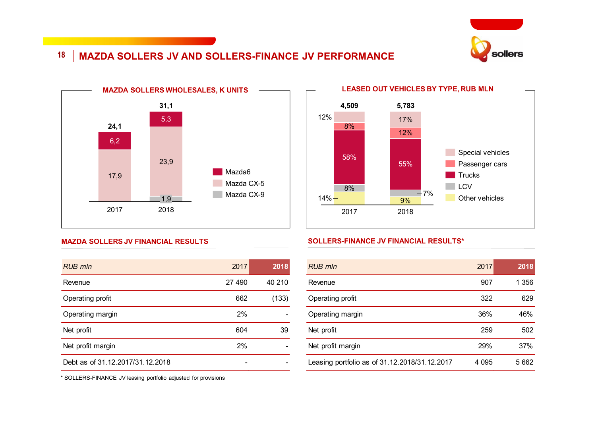

# **18 MAZDA SOLLERS JV AND SOLLERS-FINANCE JV PERFORMANCE**



#### **MAZDA SOLLERS JV FINANCIAL RESULTS**

| <b>RUB mln</b>                   | 2017  | 2018   |
|----------------------------------|-------|--------|
| Revenue                          | 27490 | 40 210 |
| Operating profit                 | 662   | (133)  |
| Operating margin                 | 2%    |        |
| Net profit                       | 604   | 39     |
| Net profit margin                | 2%    |        |
| Debt as of 31.12.2017/31.12.2018 |       |        |



#### **SOLLERS-FINANCE JV FINANCIAL RESULTS\***

| <b>RUB</b> mln                                | 2017    | $\overline{2018}$ |
|-----------------------------------------------|---------|-------------------|
| Revenue                                       | 907     | 1 356             |
| Operating profit                              | 322     | 629               |
| Operating margin                              | 36%     | 46%               |
| Net profit                                    | 259     | 502               |
| Net profit margin                             | 29%     | 37%               |
| Leasing portfolio as of 31.12.2018/31.12.2017 | 4 0 9 5 | 5 6 6 2           |

\* SOLLERS-FINANCE JV leasing portfolio adjusted for provisions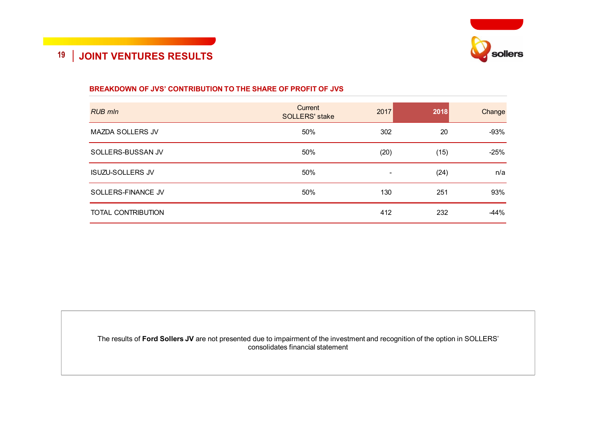

#### **BREAKDOWN OF JVS' CONTRIBUTION TO THE SHARE OF PROFIT OF JVS**

| <b>RUB mln</b>            | Current<br><b>SOLLERS' stake</b> | 2017 | 2018 | Change |
|---------------------------|----------------------------------|------|------|--------|
| <b>MAZDA SOLLERS JV</b>   | 50%                              | 302  | 20   | $-93%$ |
| SOLLERS-BUSSAN JV         | 50%                              | (20) | (15) | $-25%$ |
| <b>ISUZU-SOLLERS JV</b>   | 50%                              | -    | (24) | n/a    |
| SOLLERS-FINANCE JV        | 50%                              | 130  | 251  | 93%    |
| <b>TOTAL CONTRIBUTION</b> |                                  | 412  | 232  | $-44%$ |

The results of **Ford Sollers JV** are not presented due to impairment of the investment and recognition of the option in SOLLERS' consolidates financial statement